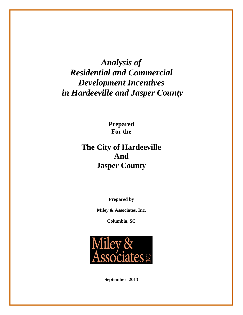> **Prepared For the**

# **The City of Hardeeville And Jasper County**

**Prepared by** 

**Miley & Associates, Inc.** 

**Columbia, SC** 



**September 2013**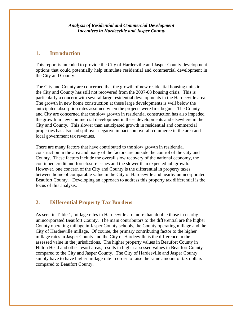### **1. Introduction**

This report is intended to provide the City of Hardeeville and Jasper County development options that could potentially help stimulate residential and commercial development in the City and County.

The City and County are concerned that the growth of new residential housing units in the City and County has still not recovered from the 2007-08 housing crisis. This is particularly a concern with several large residential developments in the Hardeeville area. The growth in new home construction at these large developments is well below the anticipated absorption rates assumed when the projects were first begun. The County and City are concerned that the slow growth in residential construction has also impeded the growth in new commercial development in these developments and elsewhere in the City and County. This slower than anticipated growth in residential and commercial properties has also had spillover negative impacts on overall commerce in the area and local government tax revenues.

There are many factors that have contributed to the slow growth in residential construction in the area and many of the factors are outside the control of the City and County. These factors include the overall slow recovery of the national economy, the continued credit and foreclosure issues and the slower than expected job growth. However, one concern of the City and County is the differential in property taxes between home of comparable value in the City of Hardeeville and nearby unincorporated Beaufort County. Developing an approach to address this property tax differential is the focus of this analysis.

## **2. Differential Property Tax Burdens**

As seen in Table 1, millage rates in Hardeeville are more than double those in nearby unincorporated Beaufort County. The main contributors to the differential are the higher County operating millage in Jasper County schools, the County operating millage and the City of Hardeeville millage. Of course, the primary contributing factor to the higher millage rates in Jasper County and the City of Hardeeville is the difference in the assessed value in the jurisdictions. The higher property values in Beaufort County in Hilton Head and other resort areas, results in higher assessed values in Beaufort County compared to the City and Jasper County. The City of Hardeeville and Jasper County simply have to have higher millage rate in order to raise the same amount of tax dollars compared to Beaufort County.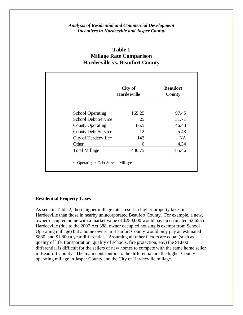## **Table 1 Millage Rate Comparison Hardeeville vs. Beaufort County**

|                            | City of<br><b>Hardeeville</b> | <b>Beaufort</b><br>County |  |
|----------------------------|-------------------------------|---------------------------|--|
| <b>School Operating</b>    | 165.25                        | 97.45                     |  |
| <b>School Debt Service</b> | 25                            | 31.71                     |  |
| <b>County Operating</b>    | 86.5                          | 46.48                     |  |
| <b>County Debt Service</b> | 12                            | 5.48                      |  |
| City of Hardeeville*       | 142                           | NA.                       |  |
| Other                      | 0                             | 4.34                      |  |
| <b>Total Millage</b>       | 430.75                        | 185.46                    |  |

#### **Residential Property Taxes**

As seen in Table 2, these higher millage rates result in higher property taxes in Hardeeville than those in nearby unincorporated Beaufort County. For example, a new, owner-occupied home with a market value of \$250,000 would pay an estimated \$2,655 in Hardeeville (due to the 2007 Act 388, owner occupied housing is exempt from School Operating millage) but a home owner in Beaufort County would only pay an estimated \$880, and \$1,800 a year differential. Assuming all other factors are equal (such as quality of life, transportation, quality of schools, fire protection, etc.) the \$1,800 differential is difficult for the sellers of new homes to compete with the same home seller in Beaufort County. The main contributors to the differential are the higher County operating millage in Jasper County and the City of Hardeeville millage.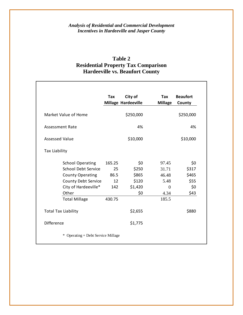# **Table 2 Residential Property Tax Comparison Hardeeville vs. Beaufort County**

|                            | Tax    | City of<br><b>Millage Hardeeville</b> | Tax<br><b>Millage</b> | <b>Beaufort</b><br>County |
|----------------------------|--------|---------------------------------------|-----------------------|---------------------------|
| Market Value of Home       |        | \$250,000                             |                       | \$250,000                 |
| <b>Assessment Rate</b>     |        | 4%                                    |                       | 4%                        |
| <b>Assessed Value</b>      |        | \$10,000                              |                       | \$10,000                  |
| <b>Tax Liability</b>       |        |                                       |                       |                           |
| <b>School Operating</b>    | 165.25 | \$0                                   | 97.45                 | \$0                       |
| <b>School Debt Service</b> | 25     | \$250                                 | 31.71                 | \$317                     |
| <b>County Operating</b>    | 86.5   | \$865                                 | 46.48                 | \$465                     |
| County Debt Service        | 12     | \$120                                 | 5.48                  | \$55                      |
| City of Hardeeville*       | 142    | \$1,420                               | $\Omega$              | \$0                       |
| Other                      |        | \$0                                   | 4.34                  | \$43                      |
| <b>Total Millage</b>       | 430.75 |                                       | 185.5                 |                           |
| <b>Total Tax Liability</b> |        | \$2,655                               |                       | \$880                     |
| <b>Difference</b>          |        | \$1,775                               |                       |                           |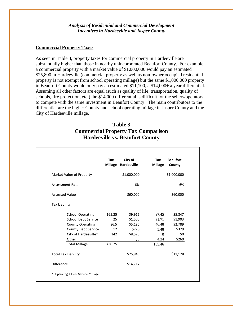#### **Commercial Property Taxes**

As seen in Table 3, property taxes for commercial property in Hardeeville are substantially higher than those in nearby unincorporated Beaufort County. For example, a commercial property with a market value of \$1,000,000 would pay an estimated \$25,800 in Hardeeville (commercial property as well as non-owner occupied residential property is not exempt from school operating millage) but the same \$1,000,000 property in Beaufort County would only pay an estimated \$11,100, a \$14,000+ a year differential. Assuming all other factors are equal (such as quality of life, transportation, quality of schools, fire protection, etc.) the \$14,000 differential is difficult for the sellers/operators to compete with the same investment in Beaufort County. The main contributors to the differential are the higher County and school operating millage in Jasper County and the City of Hardeeville millage.

# **Table 3 Commercial Property Tax Comparison Hardeeville vs. Beaufort County**

|                      |                            | Tax    | City of<br>Millage Hardeeville | Tax<br><b>Millage</b> | <b>Beaufort</b><br>County |
|----------------------|----------------------------|--------|--------------------------------|-----------------------|---------------------------|
|                      | Market Value of Property   |        | \$1,000,000                    |                       | \$1,000,000               |
|                      | <b>Assessment Rate</b>     |        | 6%                             |                       | 6%                        |
|                      | <b>Assessed Value</b>      |        | \$60,000                       |                       | \$60,000                  |
| <b>Tax Liability</b> |                            |        |                                |                       |                           |
|                      | <b>School Operating</b>    | 165.25 | \$9,915                        | 97.45                 | \$5,847                   |
|                      | School Debt Service        | 25     | \$1,500                        | 31.71                 | \$1,903                   |
|                      | <b>County Operating</b>    | 86.5   | \$5,190                        | 46.48                 | \$2,789                   |
|                      | County Debt Service        | 12     | \$720                          | 5.48                  | \$329                     |
|                      | City of Hardeeville*       | 142    | \$8,520                        | $\Omega$              | \$0                       |
|                      | Other                      |        | \$0                            | 4.34                  | \$260                     |
|                      | <b>Total Millage</b>       | 430.75 |                                | 185.46                |                           |
|                      | <b>Total Tax Liability</b> |        | \$25,845                       |                       | \$11,128                  |
| <b>Difference</b>    |                            |        | \$14,717                       |                       |                           |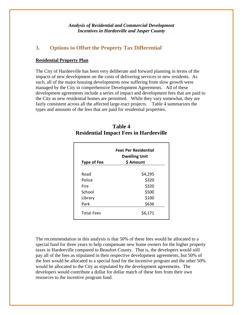### **3. Options to Offset the Property Tax Differential**

#### **Residential Property Plan**

The City of Hardeeville has been very deliberate and forward planning in terms of the impacts of new development on the costs of delivering services to new residents. As such, all of the major housing developments now suffering from slow growth were managed by the City in comprehensive Development Agreements. All of these development agreements include a series of impact and development fees that are paid to the City as new residential homes are permitted. While they vary somewhat, they are fairly consistent across all the affected large-tract projects. Table 4 summarizes the types and amounts of the fees that are paid for residential properties.

|                    | <b>Fees Per Residential</b><br><b>Dwelling Unit</b> |  |  |
|--------------------|-----------------------------------------------------|--|--|
| <b>Type of Fee</b> | \$ Amount                                           |  |  |
| Road               | \$4,295                                             |  |  |
| Police             | \$320                                               |  |  |
| Fire               | \$320                                               |  |  |
| School             | \$500                                               |  |  |
| Library            | \$100                                               |  |  |
| Park               | \$636                                               |  |  |
| <b>Total Fees</b>  | \$6,171                                             |  |  |

### **Table 4 Residential Impact Fees in Hardeeville**

The recommendation in this analysis is that 50% of these fees would be allocated to a special fund for three years to help compensate new home owners for the higher property taxes in Hardeeville compared to Beaufort County. That is, the developers would still pay all of the fees as stipulated in their respective development agreements, but 50% of the fees would be allocated to a special fund for the incentive program and the other 50% would be allocated to the City as stipulated by the development agreements. The developers would contribute a dollar for dollar match of these fees from their own resources to the incentive program fund.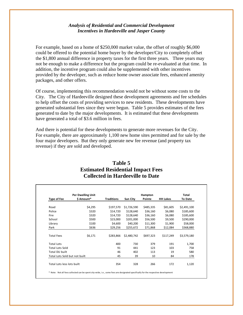For example, based on a home of \$250,000 market value, the offset of roughly \$6,000 could be offered to the potential home buyer by the developer/City to completely offset the \$1,800 annual difference in property taxes for the first three years. Three years may not be enough to make a difference but the program could be re-evaluated at that time. In addition, the incentive program could also be supplemented with other incentives provided by the developer, such as reduce home owner associate fees, enhanced amenity packages, and other offers.

Of course, implementing this recommendation would not be without some costs to the City. The City of Hardeeville designed these development agreements and fee schedules to help offset the costs of providing services to new residents. These developments have generated substantial fees since they were begun. Table 5 provides estimates of the fees generated to date by the major developments. It is estimated that these developments have generated a total of \$3.6 million in fees.

And there is potential for these developments to generate more revenues for the City. For example, there are approximately 1,100 new home sites permitted and for sale by the four major developers. But they only generate new fee revenue (and property tax revenue) if they are sold and developed.

| <b>Per Dwelling Unit</b>      |            |                   |             | Hampton   |                 | Total       |
|-------------------------------|------------|-------------------|-------------|-----------|-----------------|-------------|
| Type of Fee                   | \$ Amount* | <b>Traditions</b> | Sun City    | Pointe    | <b>HH Lakes</b> | To Date     |
| Road                          | \$4,295    | \$197,570         | \$1,726,590 | \$485,335 | \$81,605        | \$2,491,100 |
| Police                        | \$320      | \$14,720          | \$128,640   | \$36,160  | \$6,080         | \$185,600   |
| Fire                          | \$320      | \$14,720          | \$128,640   | \$36,160  | \$6,080         | \$185,600   |
| School                        | \$500      | \$23,000          | \$201,000   | \$56,500  | \$9,500         | \$290,000   |
| Library                       | \$100      | \$4,600           | \$40,200    | \$11,300  | \$1,900         | \$58,000    |
| Park                          | \$636      | \$29,256          | \$255,672   | \$71,868  | \$12,084        | \$368,880   |
| <b>Total Fees</b>             | \$6,171    | \$283,866         | \$2,480,742 | \$697,323 | \$117,249       | \$3,579,180 |
| <b>Total Lots</b>             |            | 400               | 730         | 379       | 191             | 1,700       |
| <b>Total Lots Sold</b>        |            | 91                | 441         | 123       | 103             | 758         |
| <b>Total DU built</b>         |            | 46                | 402         | 113       | 19              | 580         |
| Total Lots Sold but not built |            | 45                | 39          | 10        | 84              | 178         |

### **Table 5 Estimated Residential Impact Fees Collected in Hardeeville to Date**

\* Note: Not all fees collected can be spent city‐wide, i.e., some fees are designated specifically for the respective development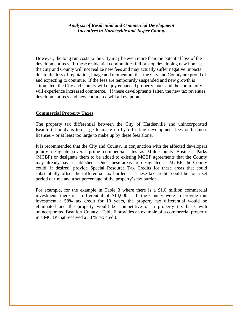However, the long run costs to the City may be even more than the potential loss of the development fees. If these residential communities fail or stop developing new homes, the City and County will not realize new fees and may actually suffer negative impacts due to the loss of reputation, image and momentum that the City and County are proud of and expecting to continue. If the fees are temporarily suspended and new growth is stimulated, the City and County will enjoy enhanced property taxes and the community will experience increased commerce. If these developments falter, the new tax revenues, development fees and new commerce will all evaporate.

#### **Commercial Property Taxes**

The property tax differential between the City of Hardeeville and unincorporated Beaufort County is too large to make up by offsetting development fees or business licenses – or at least too large to make up by these fees alone.

It is recommended that the City and County, in conjunction with the affected developers jointly designate several prime commercial sites as Multi-County Business Parks (MCBP) or designate them to be added to existing MCBP agreements that the County may already have established. Once these areas are designated as MCBP, the County could, if desired, provide Special Resource Tax Credits for these areas that could substantially offset the differential tax burden. These tax credits could be for a set period of time and a set percentage of the property's tax burden.

For example, for the example in Table 3 where there is a \$1.0 million commercial investment, there is a differential of \$14,000. If the County were to provide this investment a 58% tax credit for 10 years, the property tax differential would be eliminated and the property would be competitive on a property tax basis with unincorporated Beaufort County. Table 6 provides an example of a commercial property in a MCBP that received a 58 % tax credit.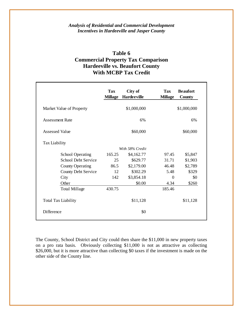# **Table 6 Commercial Property Tax Comparison Hardeeville vs. Beaufort County With MCBP Tax Credit**

|                            | <b>Tax</b><br><b>Millage</b> | City of<br><b>Hardeeville</b> | <b>Tax</b><br><b>Millage</b> | <b>Beaufort</b><br>County |
|----------------------------|------------------------------|-------------------------------|------------------------------|---------------------------|
| Market Value of Property   |                              | \$1,000,000                   |                              | \$1,000,000               |
| <b>Assessment Rate</b>     |                              | 6%                            |                              | 6%                        |
| <b>Assessed Value</b>      |                              | \$60,000                      |                              | \$60,000                  |
| <b>Tax Liability</b>       |                              |                               |                              |                           |
|                            |                              | With 58% Credit               |                              |                           |
| <b>School Operating</b>    | 165.25                       | \$4,162.77                    | 97.45                        | \$5,847                   |
| School Debt Service        | 25                           | \$629.77                      | 31.71                        | \$1,903                   |
| <b>County Operating</b>    | 86.5                         | \$2,179.00                    | 46.48                        | \$2,789                   |
| County Debt Service        | 12                           | \$302.29                      | 5.48                         | \$329                     |
| City                       | 142                          | \$3,854.18                    | $\Omega$                     | \$0                       |
| Other                      |                              | \$0.00                        | 4.34                         | \$260                     |
| <b>Total Millage</b>       | 430.75                       |                               | 185.46                       |                           |
| <b>Total Tax Liability</b> |                              | \$11,128                      |                              | \$11,128                  |
| Difference                 |                              | \$0                           |                              |                           |

The County, School District and City could then share the \$11,000 in new property taxes on a pro rata basis. Obviously collecting \$11,000 is not as attractive as collecting \$26,000, but it is more attractive than collecting \$0 taxes if the investment is made on the other side of the County line.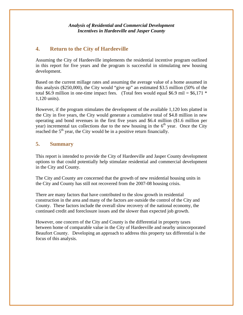# **4. Return to the City of Hardeeville**

Assuming the City of Hardeeville implements the residential incentive program outlined in this report for five years and the program is successful in stimulating new housing development.

Based on the current millage rates and assuming the average value of a home assumed in this analysis (\$250,000), the City would "give up" an estimated \$3.5 million (50% of the total \$6.9 million in one-time impact fees. (Total fees would equal \$6.9 mil =  $$6,171$  \* 1,120 units).

However, if the program stimulates the development of the available 1,120 lots platted in the City in five years, the City would generate a cumulative total of \$4.8 million in new operating and bond revenues in the first five years and \$6.4 million (\$1.6 million per year) incremental tax collections due to the new housing in the  $6<sup>th</sup>$  year. Once the City reached the  $5<sup>th</sup>$  year, the City would be in a positive return financially.

# **5. Summary**

This report is intended to provide the City of Hardeeville and Jasper County development options to that could potentially help stimulate residential and commercial development in the City and County.

The City and County are concerned that the growth of new residential housing units in the City and County has still not recovered from the 2007-08 housing crisis.

There are many factors that have contributed to the slow growth in residential construction in the area and many of the factors are outside the control of the City and County. These factors include the overall slow recovery of the national economy, the continued credit and foreclosure issues and the slower than expected job growth.

However, one concern of the City and County is the differential in property taxes between home of comparable value in the City of Hardeeville and nearby unincorporated Beaufort County. Developing an approach to address this property tax differential is the focus of this analysis.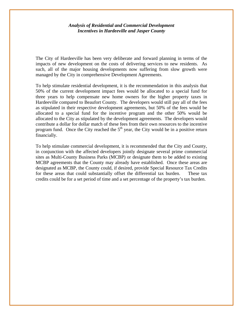The City of Hardeeville has been very deliberate and forward planning in terms of the impacts of new development on the costs of delivering services to new residents. As such, all of the major housing developments now suffering from slow growth were managed by the City in comprehensive Development Agreements.

To help stimulate residential development, it is the recommendation in this analysis that 50% of the current development impact fees would be allocated to a special fund for three years to help compensate new home owners for the higher property taxes in Hardeeville compared to Beaufort County. The developers would still pay all of the fees as stipulated in their respective development agreements, but 50% of the fees would be allocated to a special fund for the incentive program and the other 50% would be allocated to the City as stipulated by the development agreements. The developers would contribute a dollar for dollar match of these fees from their own resources to the incentive program fund. Once the City reached the  $5<sup>th</sup>$  year, the City would be in a positive return financially.

To help stimulate commercial development, it is recommended that the City and County, in conjunction with the affected developers jointly designate several prime commercial sites as Multi-County Business Parks (MCBP) or designate them to be added to existing MCBP agreements that the County may already have established. Once these areas are designated as MCBP, the County could, if desired, provide Special Resource Tax Credits for these areas that could substantially offset the differential tax burden. These tax credits could be for a set period of time and a set percentage of the property's tax burden.